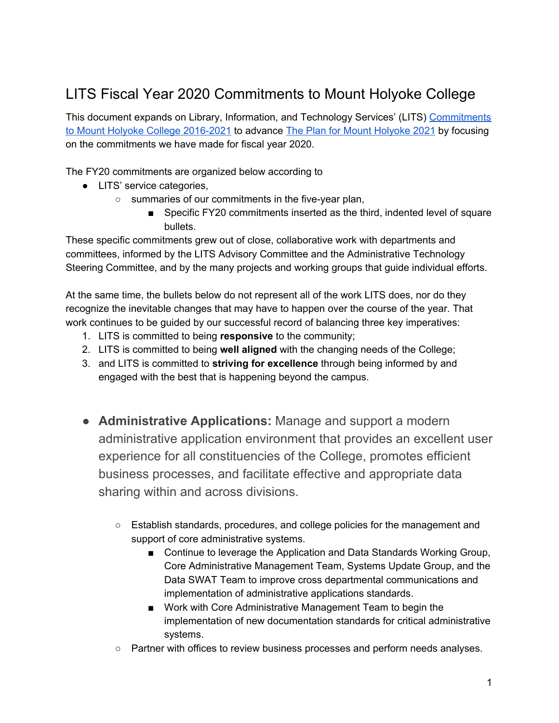## LITS Fiscal Year 2020 Commitments to Mount Holyoke College

This document expands on Library, Information, and Technology Services' (LITS) [Commitments](https://lits.mtholyoke.edu/sites/default/files/documents/LITSCommitmentstoMHC2016-2021.pdf) to Mount Holyoke College [2016-2021](https://lits.mtholyoke.edu/sites/default/files/documents/LITSCommitmentstoMHC2016-2021.pdf) to advance The Plan for Mount [Holyoke](https://www.mtholyoke.edu/iplanning/strategic-plan-summary) 2021 by focusing on the commitments we have made for fiscal year 2020.

The FY20 commitments are organized below according to

- LITS' service categories,
	- summaries of our commitments in the five-year plan,
		- Specific FY20 commitments inserted as the third, indented level of square bullets.

These specific commitments grew out of close, collaborative work with departments and committees, informed by the LITS Advisory Committee and the Administrative Technology Steering Committee, and by the many projects and working groups that guide individual efforts.

At the same time, the bullets below do not represent all of the work LITS does, nor do they recognize the inevitable changes that may have to happen over the course of the year. That work continues to be guided by our successful record of balancing three key imperatives:

- 1. LITS is committed to being **responsive** to the community;
- 2. LITS is committed to being **well aligned** with the changing needs of the College;
- 3. and LITS is committed to **striving for excellence** through being informed by and engaged with the best that is happening beyond the campus.
- **Administrative Applications:** Manage and support a modern administrative application environment that provides an excellent user experience for all constituencies of the College, promotes efficient business processes, and facilitate effective and appropriate data sharing within and across divisions.
	- Establish standards, procedures, and college policies for the management and support of core administrative systems.
		- Continue to leverage the Application and Data Standards Working Group, Core Administrative Management Team, Systems Update Group, and the Data SWAT Team to improve cross departmental communications and implementation of administrative applications standards.
		- Work with Core Administrative Management Team to begin the implementation of new documentation standards for critical administrative systems.
	- Partner with offices to review business processes and perform needs analyses.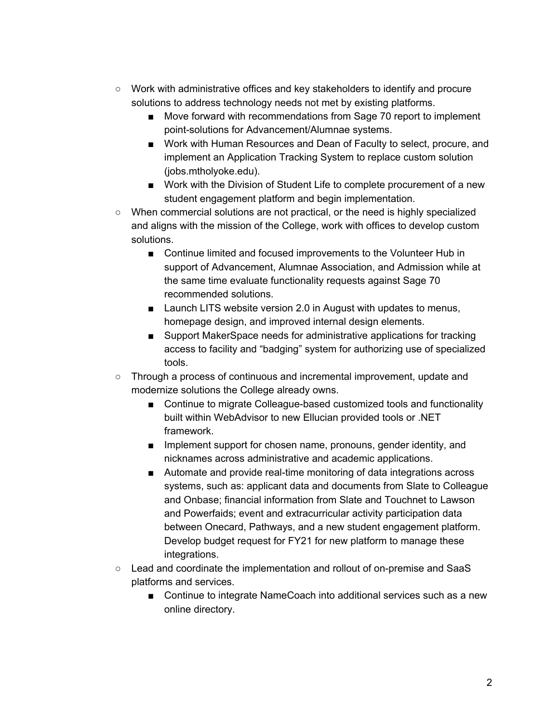- Work with administrative offices and key stakeholders to identify and procure solutions to address technology needs not met by existing platforms.
	- Move forward with recommendations from Sage 70 report to implement point-solutions for Advancement/Alumnae systems.
	- Work with Human Resources and Dean of Faculty to select, procure, and implement an Application Tracking System to replace custom solution (jobs.mtholyoke.edu).
	- Work with the Division of Student Life to complete procurement of a new student engagement platform and begin implementation.
- When commercial solutions are not practical, or the need is highly specialized and aligns with the mission of the College, work with offices to develop custom solutions.
	- Continue limited and focused improvements to the Volunteer Hub in support of Advancement, Alumnae Association, and Admission while at the same time evaluate functionality requests against Sage 70 recommended solutions.
	- Launch LITS website version 2.0 in August with updates to menus, homepage design, and improved internal design elements.
	- Support MakerSpace needs for administrative applications for tracking access to facility and "badging" system for authorizing use of specialized tools.
- Through a process of continuous and incremental improvement, update and modernize solutions the College already owns.
	- Continue to migrate Colleague-based customized tools and functionality built within WebAdvisor to new Ellucian provided tools or .NET framework.
	- Implement support for chosen name, pronouns, gender identity, and nicknames across administrative and academic applications.
	- Automate and provide real-time monitoring of data integrations across systems, such as: applicant data and documents from Slate to Colleague and Onbase; financial information from Slate and Touchnet to Lawson and Powerfaids; event and extracurricular activity participation data between Onecard, Pathways, and a new student engagement platform. Develop budget request for FY21 for new platform to manage these integrations.
- Lead and coordinate the implementation and rollout of on-premise and SaaS platforms and services.
	- Continue to integrate NameCoach into additional services such as a new online directory.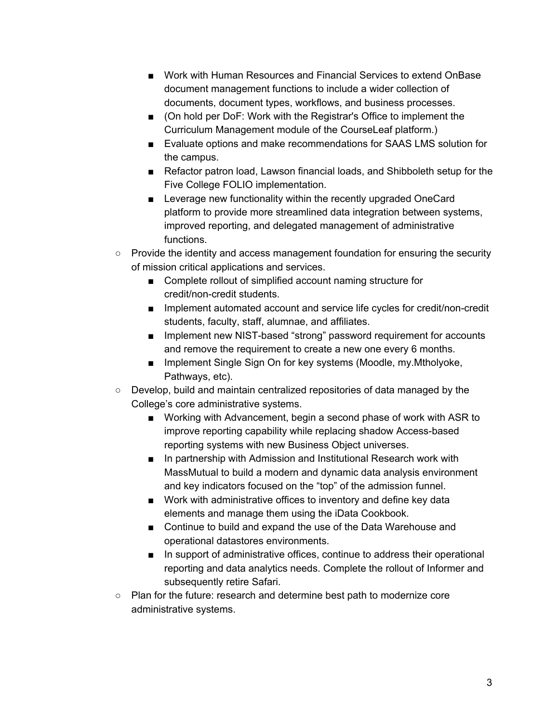- Work with Human Resources and Financial Services to extend OnBase document management functions to include a wider collection of documents, document types, workflows, and business processes.
- (On hold per DoF: Work with the Registrar's Office to implement the Curriculum Management module of the CourseLeaf platform.)
- Evaluate options and make recommendations for SAAS LMS solution for the campus.
- Refactor patron load, Lawson financial loads, and Shibboleth setup for the Five College FOLIO implementation.
- Leverage new functionality within the recently upgraded OneCard platform to provide more streamlined data integration between systems, improved reporting, and delegated management of administrative functions.
- Provide the identity and access management foundation for ensuring the security of mission critical applications and services.
	- Complete rollout of simplified account naming structure for credit/non-credit students.
	- Implement automated account and service life cycles for credit/non-credit students, faculty, staff, alumnae, and affiliates.
	- Implement new NIST-based "strong" password requirement for accounts and remove the requirement to create a new one every 6 months.
	- Implement Single Sign On for key systems (Moodle, my.Mtholyoke, Pathways, etc).
- Develop, build and maintain centralized repositories of data managed by the College's core administrative systems.
	- Working with Advancement, begin a second phase of work with ASR to improve reporting capability while replacing shadow Access-based reporting systems with new Business Object universes.
	- In partnership with Admission and Institutional Research work with MassMutual to build a modern and dynamic data analysis environment and key indicators focused on the "top" of the admission funnel.
	- Work with administrative offices to inventory and define key data elements and manage them using the iData Cookbook.
	- Continue to build and expand the use of the Data Warehouse and operational datastores environments.
	- In support of administrative offices, continue to address their operational reporting and data analytics needs. Complete the rollout of Informer and subsequently retire Safari.
- Plan for the future: research and determine best path to modernize core administrative systems.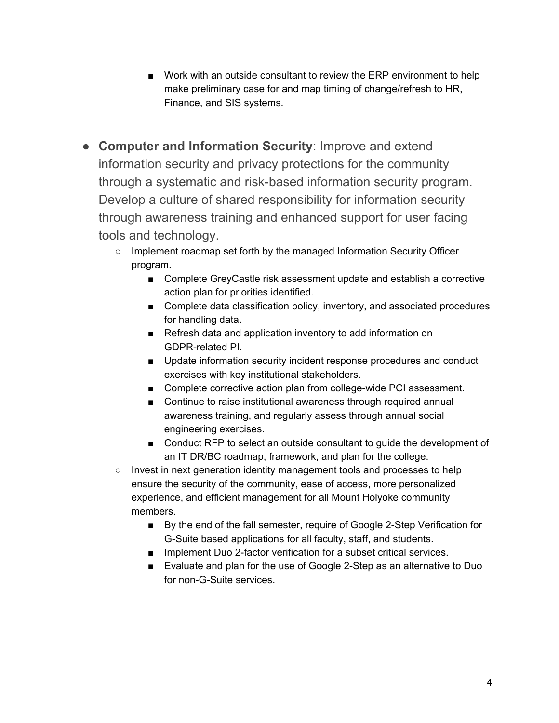- Work with an outside consultant to review the ERP environment to help make preliminary case for and map timing of change/refresh to HR, Finance, and SIS systems.
- **Computer and Information Security**: Improve and extend information security and privacy protections for the community through a systematic and risk-based information security program. Develop a culture of shared responsibility for information security through awareness training and enhanced support for user facing tools and technology.
	- Implement roadmap set forth by the managed Information Security Officer program.
		- Complete GreyCastle risk assessment update and establish a corrective action plan for priorities identified.
		- Complete data classification policy, inventory, and associated procedures for handling data.
		- Refresh data and application inventory to add information on GDPR-related PI.
		- Update information security incident response procedures and conduct exercises with key institutional stakeholders.
		- Complete corrective action plan from college-wide PCI assessment.
		- Continue to raise institutional awareness through required annual awareness training, and regularly assess through annual social engineering exercises.
		- Conduct RFP to select an outside consultant to quide the development of an IT DR/BC roadmap, framework, and plan for the college.
	- Invest in next generation identity management tools and processes to help ensure the security of the community, ease of access, more personalized experience, and efficient management for all Mount Holyoke community members.
		- By the end of the fall semester, require of Google 2-Step Verification for G-Suite based applications for all faculty, staff, and students.
		- Implement Duo 2-factor verification for a subset critical services.
		- Evaluate and plan for the use of Google 2-Step as an alternative to Duo for non-G-Suite services.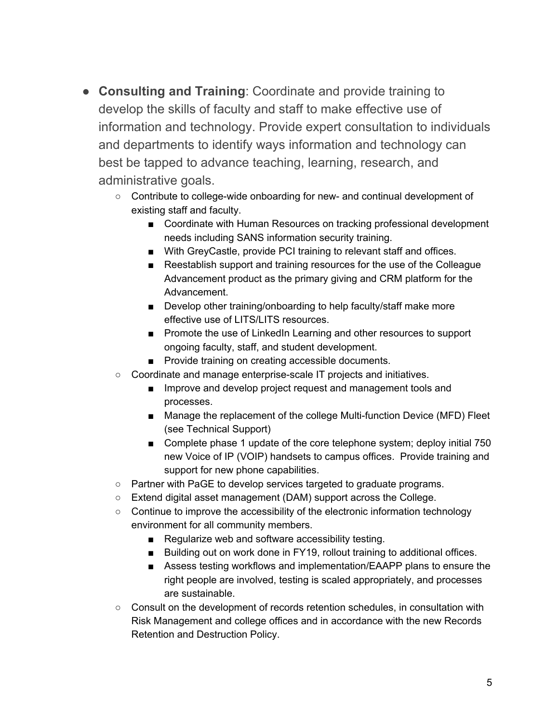- **Consulting and Training**: Coordinate and provide training to develop the skills of faculty and staff to make effective use of information and technology. Provide expert consultation to individuals and departments to identify ways information and technology can best be tapped to advance teaching, learning, research, and administrative goals.
	- Contribute to college-wide onboarding for new- and continual development of existing staff and faculty.
		- Coordinate with Human Resources on tracking professional development needs including SANS information security training.
		- With GreyCastle, provide PCI training to relevant staff and offices.
		- Reestablish support and training resources for the use of the Colleague Advancement product as the primary giving and CRM platform for the Advancement.
		- Develop other training/onboarding to help faculty/staff make more effective use of LITS/LITS resources.
		- Promote the use of LinkedIn Learning and other resources to support ongoing faculty, staff, and student development.
		- Provide training on creating accessible documents.
	- Coordinate and manage enterprise-scale IT projects and initiatives.
		- Improve and develop project request and management tools and processes.
		- Manage the replacement of the college Multi-function Device (MFD) Fleet (see Technical Support)
		- Complete phase 1 update of the core telephone system; deploy initial 750 new Voice of IP (VOIP) handsets to campus offices. Provide training and support for new phone capabilities.
	- Partner with PaGE to develop services targeted to graduate programs.
	- Extend digital asset management (DAM) support across the College.
	- Continue to improve the accessibility of the electronic information technology environment for all community members.
		- Regularize web and software accessibility testing.
		- Building out on work done in FY19, rollout training to additional offices.
		- Assess testing workflows and implementation/EAAPP plans to ensure the right people are involved, testing is scaled appropriately, and processes are sustainable.
	- Consult on the development of records retention schedules, in consultation with Risk Management and college offices and in accordance with the new Records Retention and Destruction Policy.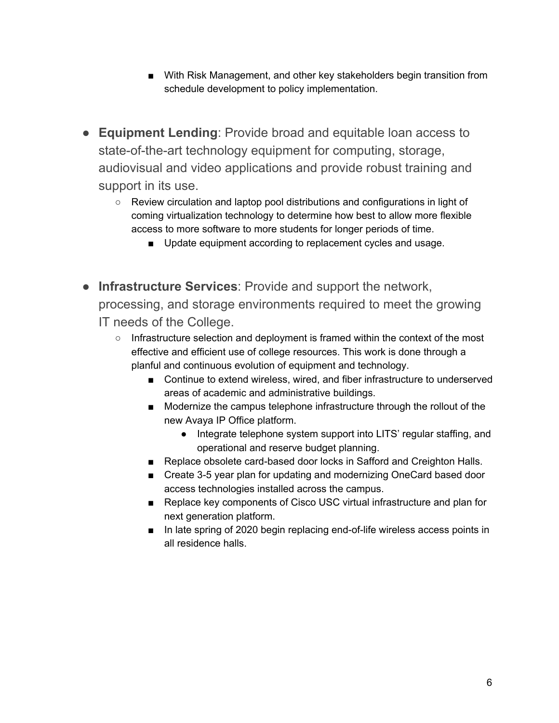- With Risk Management, and other key stakeholders begin transition from schedule development to policy implementation.
- **Equipment Lending**: Provide broad and equitable loan access to state-of-the-art technology equipment for computing, storage, audiovisual and video applications and provide robust training and support in its use.
	- Review circulation and laptop pool distributions and configurations in light of coming virtualization technology to determine how best to allow more flexible access to more software to more students for longer periods of time.
		- Update equipment according to replacement cycles and usage.
- **Infrastructure Services**: Provide and support the network, processing, and storage environments required to meet the growing IT needs of the College.
	- $\circ$  Infrastructure selection and deployment is framed within the context of the most effective and efficient use of college resources. This work is done through a planful and continuous evolution of equipment and technology.
		- Continue to extend wireless, wired, and fiber infrastructure to underserved areas of academic and administrative buildings.
		- Modernize the campus telephone infrastructure through the rollout of the new Avaya IP Office platform.
			- Integrate telephone system support into LITS' regular staffing, and operational and reserve budget planning.
		- Replace obsolete card-based door locks in Safford and Creighton Halls.
		- Create 3-5 year plan for updating and modernizing OneCard based door access technologies installed across the campus.
		- Replace key components of Cisco USC virtual infrastructure and plan for next generation platform.
		- In late spring of 2020 begin replacing end-of-life wireless access points in all residence halls.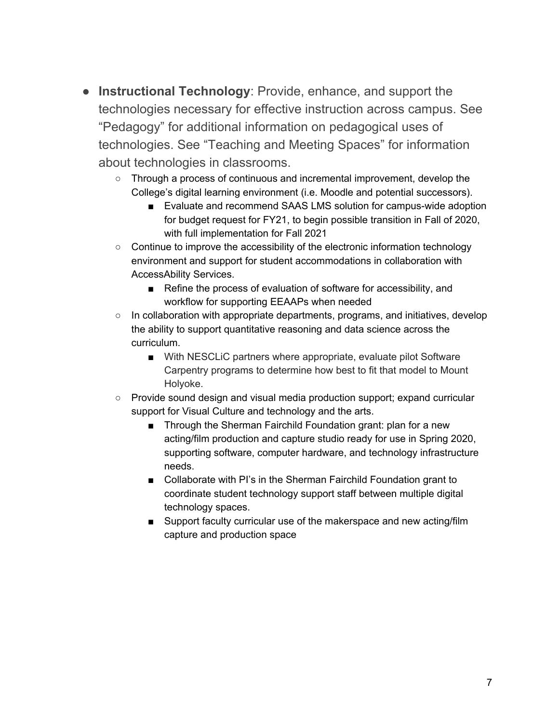- **Instructional Technology**: Provide, enhance, and support the technologies necessary for effective instruction across campus. See "Pedagogy" for additional information on pedagogical uses of technologies. See "Teaching and Meeting Spaces" for information about technologies in classrooms.
	- Through a process of continuous and incremental improvement, develop the College's digital learning environment (i.e. Moodle and potential successors).
		- Evaluate and recommend SAAS LMS solution for campus-wide adoption for budget request for FY21, to begin possible transition in Fall of 2020, with full implementation for Fall 2021
	- Continue to improve the accessibility of the electronic information technology environment and support for student accommodations in collaboration with AccessAbility Services.
		- Refine the process of evaluation of software for accessibility, and workflow for supporting EEAAPs when needed
	- In collaboration with appropriate departments, programs, and initiatives, develop the ability to support quantitative reasoning and data science across the curriculum.
		- With NESCLiC partners where appropriate, evaluate pilot Software Carpentry programs to determine how best to fit that model to Mount Holyoke.
	- Provide sound design and visual media production support; expand curricular support for Visual Culture and technology and the arts.
		- Through the Sherman Fairchild Foundation grant: plan for a new acting/film production and capture studio ready for use in Spring 2020, supporting software, computer hardware, and technology infrastructure needs.
		- Collaborate with PI's in the Sherman Fairchild Foundation grant to coordinate student technology support staff between multiple digital technology spaces.
		- Support faculty curricular use of the makerspace and new acting/film capture and production space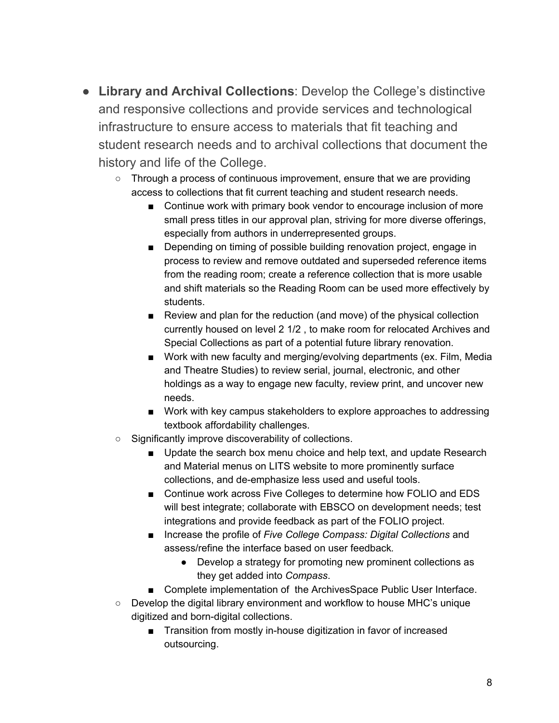- **Library and Archival Collections**: Develop the College's distinctive and responsive collections and provide services and technological infrastructure to ensure access to materials that fit teaching and student research needs and to archival collections that document the history and life of the College.
	- Through a process of continuous improvement, ensure that we are providing access to collections that fit current teaching and student research needs.
		- Continue work with primary book vendor to encourage inclusion of more small press titles in our approval plan, striving for more diverse offerings, especially from authors in underrepresented groups.
		- Depending on timing of possible building renovation project, engage in process to review and remove outdated and superseded reference items from the reading room; create a reference collection that is more usable and shift materials so the Reading Room can be used more effectively by students.
		- Review and plan for the reduction (and move) of the physical collection currently housed on level 2 1/2 , to make room for relocated Archives and Special Collections as part of a potential future library renovation.
		- Work with new faculty and merging/evolving departments (ex. Film, Media and Theatre Studies) to review serial, journal, electronic, and other holdings as a way to engage new faculty, review print, and uncover new needs.
		- Work with key campus stakeholders to explore approaches to addressing textbook affordability challenges.
	- Significantly improve discoverability of collections.
		- Update the search box menu choice and help text, and update Research and Material menus on LITS website to more prominently surface collections, and de-emphasize less used and useful tools.
		- Continue work across Five Colleges to determine how FOLIO and EDS will best integrate; collaborate with EBSCO on development needs; test integrations and provide feedback as part of the FOLIO project.
		- Increase the profile of *Five College Compass: Digital Collections* and assess/refine the interface based on user feedback*.*
			- Develop a strategy for promoting new prominent collections as they get added into *Compass*.
		- Complete implementation of the ArchivesSpace Public User Interface.
	- $\circ$  Develop the digital library environment and workflow to house MHC's unique digitized and born-digital collections.
		- Transition from mostly in-house digitization in favor of increased outsourcing.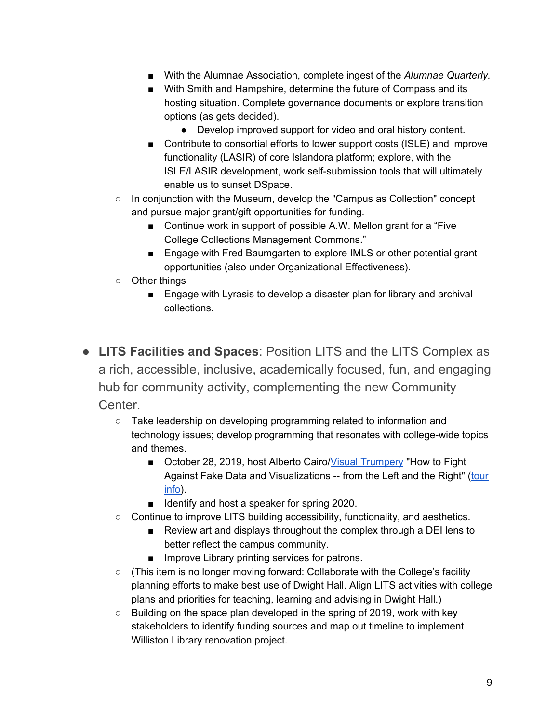- With the Alumnae Association, complete ingest of the *Alumnae Quarterly*.
- With Smith and Hampshire, determine the future of Compass and its hosting situation. Complete governance documents or explore transition options (as gets decided).
	- Develop improved support for video and oral history content.
- Contribute to consortial efforts to lower support costs (ISLE) and improve functionality (LASIR) of core Islandora platform; explore, with the ISLE/LASIR development, work self-submission tools that will ultimately enable us to sunset DSpace.
- $\circ$  In conjunction with the Museum, develop the "Campus as Collection" concept and pursue major grant/gift opportunities for funding.
	- Continue work in support of possible A.W. Mellon grant for a "Five" College Collections Management Commons."
	- Engage with Fred Baumgarten to explore IMLS or other potential grant opportunities (also under Organizational Effectiveness).
- Other things
	- Engage with Lyrasis to develop a disaster plan for library and archival collections.
- **LITS Facilities and Spaces**: Position LITS and the LITS Complex as a rich, accessible, inclusive, academically focused, fun, and engaging hub for community activity, complementing the new Community Center.
	- Take leadership on developing programming related to information and technology issues; develop programming that resonates with college-wide topics and themes.
		- October 28, 2019, host Alberto Cairo/Visual [Trumpery](https://visualtrumperytour.wordpress.com/) "How to Fight Against Fake Data and Visualizations -- from the Left and the Right" [\(tour](http://www.thefunctionalart.com/2017/02/announcing-visual-trumpery-lecture-tour.html) [info\)](http://www.thefunctionalart.com/2017/02/announcing-visual-trumpery-lecture-tour.html).
		- Identify and host a speaker for spring 2020.
	- $\circ$  Continue to improve LITS building accessibility, functionality, and aesthetics.
		- Review art and displays throughout the complex through a DEI lens to better reflect the campus community.
		- Improve Library printing services for patrons.
	- (This item is no longer moving forward: Collaborate with the College's facility planning efforts to make best use of Dwight Hall. Align LITS activities with college plans and priorities for teaching, learning and advising in Dwight Hall.)
	- Building on the space plan developed in the spring of 2019, work with key stakeholders to identify funding sources and map out timeline to implement Williston Library renovation project.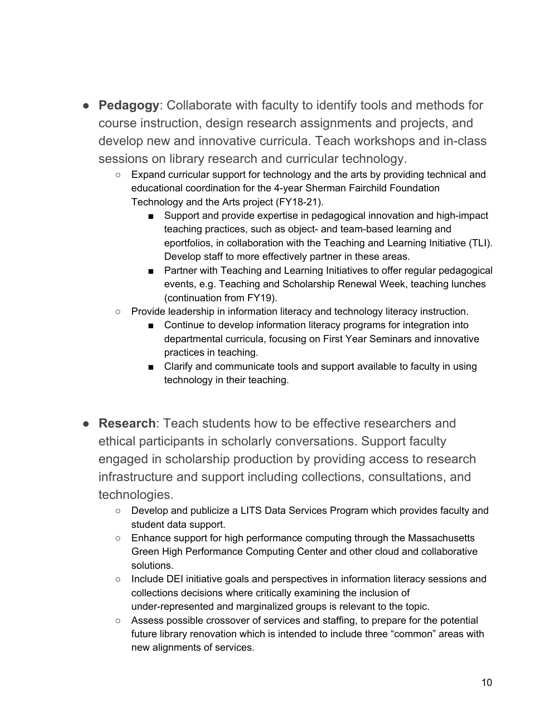- **Pedagogy**: Collaborate with faculty to identify tools and methods for course instruction, design research assignments and projects, and develop new and innovative curricula. Teach workshops and in-class sessions on library research and curricular technology.
	- Expand curricular support for technology and the arts by providing technical and educational coordination for the 4-year Sherman Fairchild Foundation Technology and the Arts project (FY18-21).
		- Support and provide expertise in pedagogical innovation and high-impact teaching practices, such as object- and team-based learning and eportfolios, in collaboration with the Teaching and Learning Initiative (TLI). Develop staff to more effectively partner in these areas.
		- Partner with Teaching and Learning Initiatives to offer regular pedagogical events, e.g. Teaching and Scholarship Renewal Week, teaching lunches (continuation from FY19).
	- Provide leadership in information literacy and technology literacy instruction.
		- Continue to develop information literacy programs for integration into departmental curricula, focusing on First Year Seminars and innovative practices in teaching.
		- Clarify and communicate tools and support available to faculty in using technology in their teaching.
- **Research**: Teach students how to be effective researchers and ethical participants in scholarly conversations. Support faculty engaged in scholarship production by providing access to research infrastructure and support including collections, consultations, and technologies.
	- Develop and publicize a LITS Data Services Program which provides faculty and student data support.
	- $\circ$  Enhance support for high performance computing through the Massachusetts Green High Performance Computing Center and other cloud and collaborative solutions.
	- Include DEI initiative goals and perspectives in information literacy sessions and collections decisions where critically examining the inclusion of under-represented and marginalized groups is relevant to the topic.
	- Assess possible crossover of services and staffing, to prepare for the potential future library renovation which is intended to include three "common" areas with new alignments of services.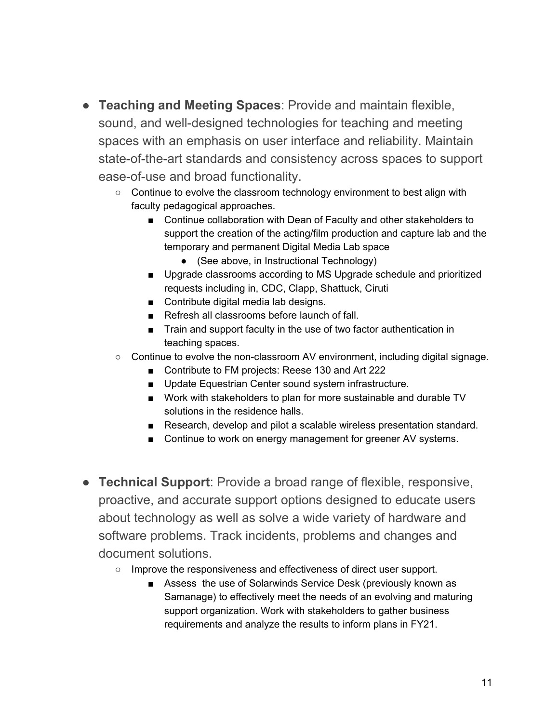- **Teaching and Meeting Spaces**: Provide and maintain flexible, sound, and well-designed technologies for teaching and meeting spaces with an emphasis on user interface and reliability. Maintain state-of-the-art standards and consistency across spaces to support ease-of-use and broad functionality.
	- Continue to evolve the classroom technology environment to best align with faculty pedagogical approaches.
		- Continue collaboration with Dean of Faculty and other stakeholders to support the creation of the acting/film production and capture lab and the temporary and permanent Digital Media Lab space
			- (See above, in Instructional Technology)
		- Upgrade classrooms according to MS Upgrade schedule and prioritized requests including in, CDC, Clapp, Shattuck, Ciruti
		- Contribute digital media lab designs.
		- Refresh all classrooms before launch of fall.
		- Train and support faculty in the use of two factor authentication in teaching spaces.
	- Continue to evolve the non-classroom AV environment, including digital signage.
		- Contribute to FM projects: Reese 130 and Art 222
		- Update Equestrian Center sound system infrastructure.
		- Work with stakeholders to plan for more sustainable and durable TV solutions in the residence halls.
		- Research, develop and pilot a scalable wireless presentation standard.
		- Continue to work on energy management for greener AV systems.
- **Technical Support**: Provide a broad range of flexible, responsive, proactive, and accurate support options designed to educate users about technology as well as solve a wide variety of hardware and software problems. Track incidents, problems and changes and document solutions.
	- Improve the responsiveness and effectiveness of direct user support.
		- Assess the use of Solarwinds Service Desk (previously known as Samanage) to effectively meet the needs of an evolving and maturing support organization. Work with stakeholders to gather business requirements and analyze the results to inform plans in FY21.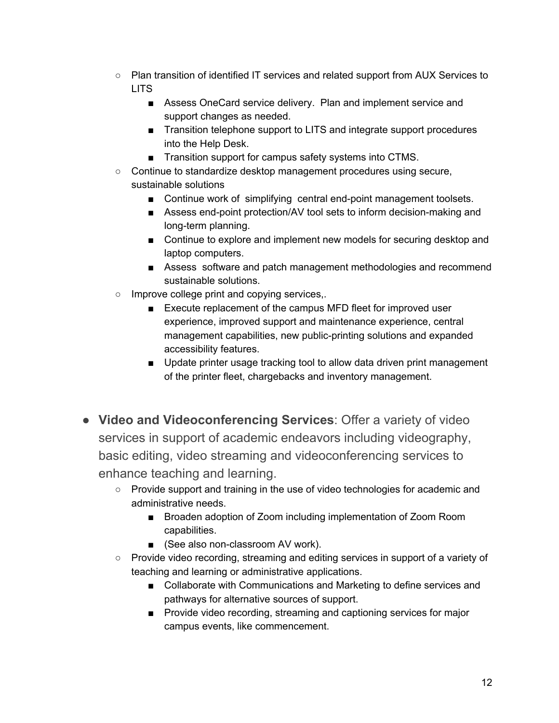- Plan transition of identified IT services and related support from AUX Services to LITS
	- Assess OneCard service delivery. Plan and implement service and support changes as needed.
	- Transition telephone support to LITS and integrate support procedures into the Help Desk.
	- Transition support for campus safety systems into CTMS.
- Continue to standardize desktop management procedures using secure, sustainable solutions
	- Continue work of simplifying central end-point management toolsets.
	- Assess end-point protection/AV tool sets to inform decision-making and long-term planning.
	- Continue to explore and implement new models for securing desktop and laptop computers.
	- Assess software and patch management methodologies and recommend sustainable solutions.
- Improve college print and copying services,.
	- Execute replacement of the campus MFD fleet for improved user experience, improved support and maintenance experience, central management capabilities, new public-printing solutions and expanded accessibility features.
	- Update printer usage tracking tool to allow data driven print management of the printer fleet, chargebacks and inventory management.
- **Video and Videoconferencing Services**: Offer a variety of video services in support of academic endeavors including videography, basic editing, video streaming and videoconferencing services to enhance teaching and learning.
	- Provide support and training in the use of video technologies for academic and administrative needs.
		- Broaden adoption of Zoom including implementation of Zoom Room capabilities.
		- (See also non-classroom AV work).
	- Provide video recording, streaming and editing services in support of a variety of teaching and learning or administrative applications.
		- Collaborate with Communications and Marketing to define services and pathways for alternative sources of support.
		- Provide video recording, streaming and captioning services for major campus events, like commencement.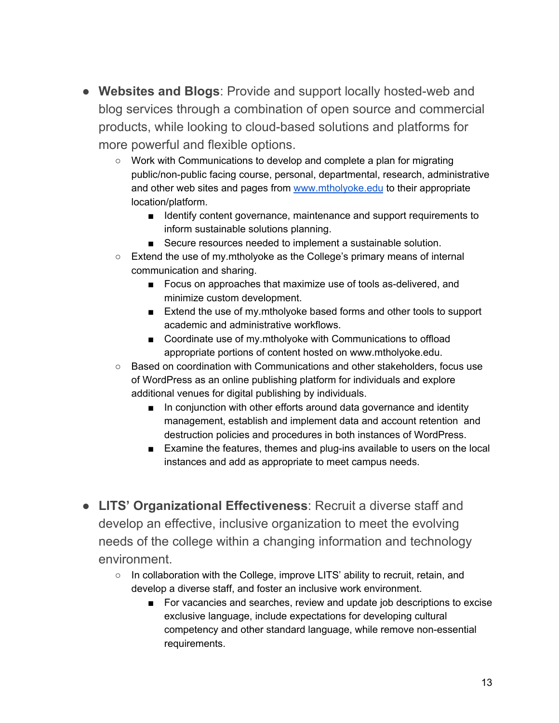- **Websites and Blogs**: Provide and support locally hosted-web and blog services through a combination of open source and commercial products, while looking to cloud-based solutions and platforms for more powerful and flexible options.
	- Work with Communications to develop and complete a plan for migrating public/non-public facing course, personal, departmental, research, administrative and other web sites and pages from [www.mtholyoke.edu](http://www.mtholyoke.edu/) to their appropriate location/platform.
		- Identify content governance, maintenance and support requirements to inform sustainable solutions planning.
		- Secure resources needed to implement a sustainable solution.
	- Extend the use of my.mtholyoke as the College's primary means of internal communication and sharing.
		- Focus on approaches that maximize use of tools as-delivered, and minimize custom development.
		- Extend the use of my.mtholyoke based forms and other tools to support academic and administrative workflows.
		- Coordinate use of my.mtholyoke with Communications to offload appropriate portions of content hosted on www.mtholyoke.edu.
	- Based on coordination with Communications and other stakeholders, focus use of WordPress as an online publishing platform for individuals and explore additional venues for digital publishing by individuals.
		- In conjunction with other efforts around data governance and identity management, establish and implement data and account retention and destruction policies and procedures in both instances of WordPress.
		- Examine the features, themes and plug-ins available to users on the local instances and add as appropriate to meet campus needs.
- **LITS' Organizational Effectiveness**: Recruit a diverse staff and develop an effective, inclusive organization to meet the evolving needs of the college within a changing information and technology environment.
	- In collaboration with the College, improve LITS' ability to recruit, retain, and develop a diverse staff, and foster an inclusive work environment.
		- For vacancies and searches, review and update job descriptions to excise exclusive language, include expectations for developing cultural competency and other standard language, while remove non-essential requirements.